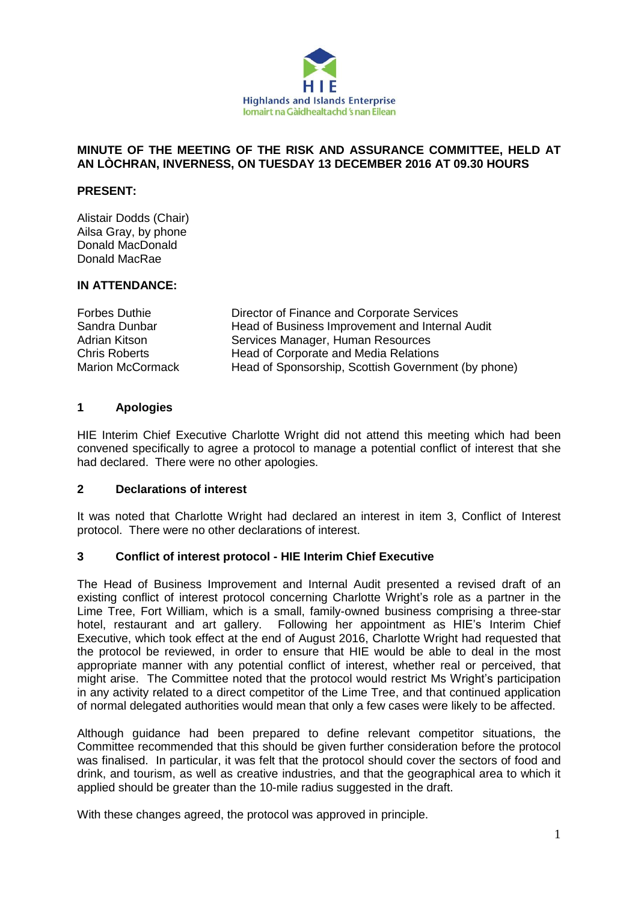

#### **MINUTE OF THE MEETING OF THE RISK AND ASSURANCE COMMITTEE, HELD AT AN LÒCHRAN, INVERNESS, ON TUESDAY 13 DECEMBER 2016 AT 09.30 HOURS**

### **PRESENT:**

Alistair Dodds (Chair) Ailsa Gray, by phone Donald MacDonald Donald MacRae

#### **IN ATTENDANCE:**

Forbes Duthie Director of Finance and Corporate Services Sandra Dunbar **Head of Business Improvement and Internal Audit** Adrian Kitson Services Manager, Human Resources Chris Roberts **Head of Corporate and Media Relations** Marion McCormack Head of Sponsorship, Scottish Government (by phone)

#### **1 Apologies**

HIE Interim Chief Executive Charlotte Wright did not attend this meeting which had been convened specifically to agree a protocol to manage a potential conflict of interest that she had declared. There were no other apologies.

#### **2 Declarations of interest**

It was noted that Charlotte Wright had declared an interest in item 3, Conflict of Interest protocol. There were no other declarations of interest.

## **3 Conflict of interest protocol - HIE Interim Chief Executive**

The Head of Business Improvement and Internal Audit presented a revised draft of an existing conflict of interest protocol concerning Charlotte Wright's role as a partner in the Lime Tree, Fort William, which is a small, family-owned business comprising a three-star hotel, restaurant and art gallery. Following her appointment as HIE's Interim Chief Executive, which took effect at the end of August 2016, Charlotte Wright had requested that the protocol be reviewed, in order to ensure that HIE would be able to deal in the most appropriate manner with any potential conflict of interest, whether real or perceived, that might arise. The Committee noted that the protocol would restrict Ms Wright's participation in any activity related to a direct competitor of the Lime Tree, and that continued application of normal delegated authorities would mean that only a few cases were likely to be affected.

Although guidance had been prepared to define relevant competitor situations, the Committee recommended that this should be given further consideration before the protocol was finalised. In particular, it was felt that the protocol should cover the sectors of food and drink, and tourism, as well as creative industries, and that the geographical area to which it applied should be greater than the 10-mile radius suggested in the draft.

With these changes agreed, the protocol was approved in principle.